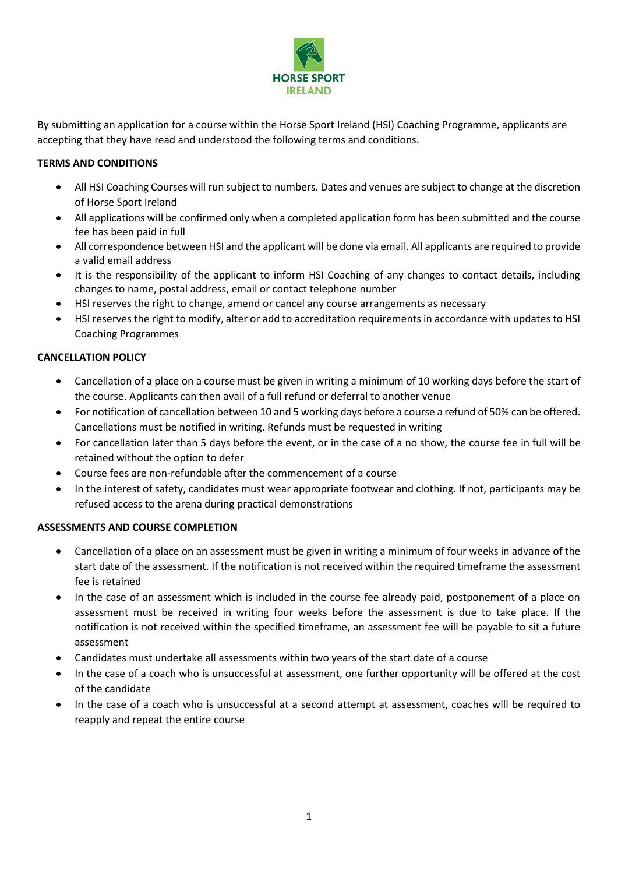

By submitting an application for a course within the Horse Sport Ireland (HSI) Coaching Programme, applicants are accepting that they have read and understood the following terms and conditions.

## **TERMS AND CONDITIONS**

- All HSI Coaching Courses will run subject to numbers. Dates and venues are subject to change at the discretion of Horse Sport Ireland
- All applications will be confirmed only when a completed application form has been submitted and the course fee has been paid in full
- All correspondence between HSI and the applicant will be done via email. All applicants are required to provide a valid email address
- It is the responsibility of the applicant to inform HSI Coaching of any changes to contact details, including changes to name, postal address, email or contact telephone number
- HSI reserves the right to change, amend or cancel any course arrangements as necessary
- HSI reserves the right to modify, alter or add to accreditation requirements in accordance with updates to HSI Coaching Programmes

## **CANCELLATION POLICY**

- Cancellation of a place on a course must be given in writing a minimum of 10 working days before the start of the course. Applicants can then avail of a full refund or deferral to another venue
- For notification of cancellation between 10 and 5 working days before a course a refund of 50% can be offered. Cancellations must be notified in writing. Refunds must be requested in writing
- For cancellation later than 5 days before the event, or in the case of a no show, the course fee in full will be retained without the option to defer
- Course fees are non-refundable after the commencement of a course
- In the interest of safety, candidates must wear appropriate footwear and clothing. If not, participants may be refused access to the arena during practical demonstrations

## **ASSESSMENTS AND COURSE COMPLETION**

- Cancellation of a place on an assessment must be given in writing a minimum of four weeks in advance of the start date of the assessment. If the notification is not received within the required timeframe the assessment fee is retained
- In the case of an assessment which is included in the course fee already paid, postponement of a place on assessment must be received in writing four weeks before the assessment is due to take place. If the notification is not received within the specified timeframe, an assessment fee will be payable to sit a future assessment
- Candidates must undertake all assessments within two years of the start date of a course
- In the case of a coach who is unsuccessful at assessment, one further opportunity will be offered at the cost of the candidate
- In the case of a coach who is unsuccessful at a second attempt at assessment, coaches will be required to reapply and repeat the entire course